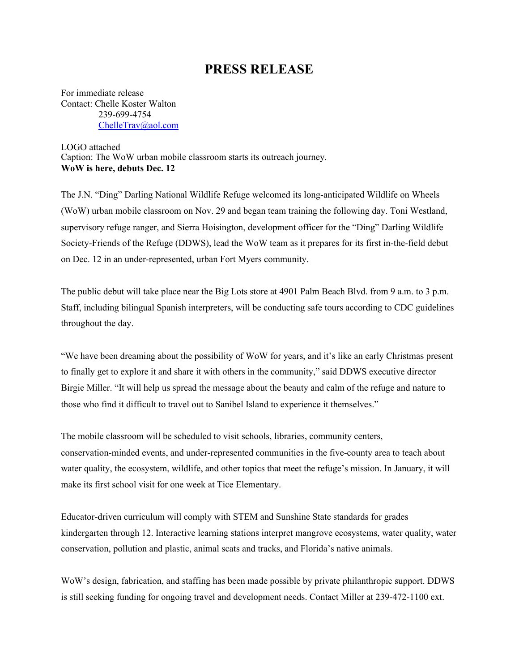## **PRESS RELEASE**

For immediate release Contact: Chelle Koster Walton 239-699-4754 [ChelleTrav@aol.com](mailto:ChelleTrav@aol.com)

LOGO attached Caption: The WoW urban mobile classroom starts its outreach journey. **WoW is here, debuts Dec. 12**

The J.N. "Ding" Darling National Wildlife Refuge welcomed its long-anticipated Wildlife on Wheels (WoW) urban mobile classroom on Nov. 29 and began team training the following day. Toni Westland, supervisory refuge ranger, and Sierra Hoisington, development officer for the "Ding" Darling Wildlife Society-Friends of the Refuge (DDWS), lead the WoW team as it prepares for its first in-the-field debut on Dec. 12 in an under-represented, urban Fort Myers community.

The public debut will take place near the Big Lots store at 4901 Palm Beach Blvd. from 9 a.m. to 3 p.m. Staff, including bilingual Spanish interpreters, will be conducting safe tours according to CDC guidelines throughout the day.

"We have been dreaming about the possibility of WoW for years, and it's like an early Christmas present to finally get to explore it and share it with others in the community," said DDWS executive director Birgie Miller. "It will help us spread the message about the beauty and calm of the refuge and nature to those who find it difficult to travel out to Sanibel Island to experience it themselves."

The mobile classroom will be scheduled to visit schools, libraries, community centers, conservation-minded events, and under-represented communities in the five-county area to teach about water quality, the ecosystem, wildlife, and other topics that meet the refuge's mission. In January, it will make its first school visit for one week at Tice Elementary.

Educator-driven curriculum will comply with STEM and Sunshine State standards for grades kindergarten through 12. Interactive learning stations interpret mangrove ecosystems, water quality, water conservation, pollution and plastic, animal scats and tracks, and Florida's native animals.

WoW's design, fabrication, and staffing has been made possible by private philanthropic support. DDWS is still seeking funding for ongoing travel and development needs. Contact Miller at 239-472-1100 ext.